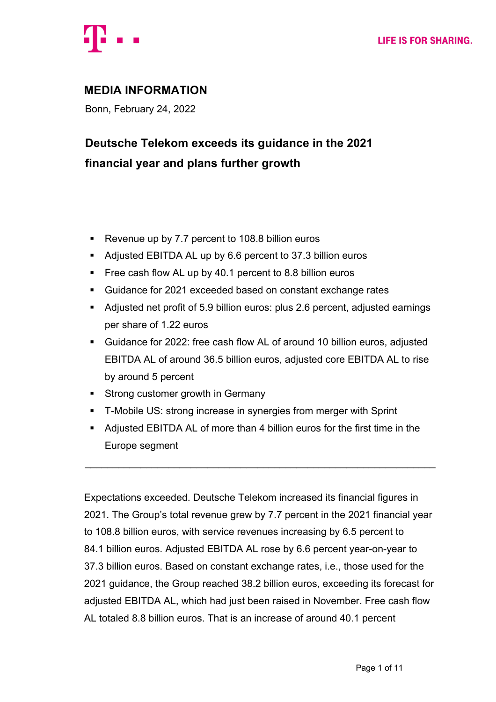

# **MEDIA INFORMATION**

Bonn, February 24, 2022

# **Deutsche Telekom exceeds its guidance in the 2021 financial year and plans further growth**

- Revenue up by 7.7 percent to 108.8 billion euros
- Adjusted EBITDA AL up by 6.6 percent to 37.3 billion euros
- § Free cash flow AL up by 40.1 percent to 8.8 billion euros
- Guidance for 2021 exceeded based on constant exchange rates
- § Adjusted net profit of 5.9 billion euros: plus 2.6 percent, adjusted earnings per share of 1.22 euros
- Guidance for 2022: free cash flow AL of around 10 billion euros, adjusted EBITDA AL of around 36.5 billion euros, adjusted core EBITDA AL to rise by around 5 percent
- Strong customer growth in Germany
- T-Mobile US: strong increase in synergies from merger with Sprint
- Adjusted EBITDA AL of more than 4 billion euros for the first time in the Europe segment

 $\mathcal{L}_\text{max} = \mathcal{L}_\text{max} = \mathcal{L}_\text{max} = \mathcal{L}_\text{max} = \mathcal{L}_\text{max} = \mathcal{L}_\text{max} = \mathcal{L}_\text{max} = \mathcal{L}_\text{max} = \mathcal{L}_\text{max} = \mathcal{L}_\text{max} = \mathcal{L}_\text{max} = \mathcal{L}_\text{max} = \mathcal{L}_\text{max} = \mathcal{L}_\text{max} = \mathcal{L}_\text{max} = \mathcal{L}_\text{max} = \mathcal{L}_\text{max} = \mathcal{L}_\text{max} = \mathcal{$ 

Expectations exceeded. Deutsche Telekom increased its financial figures in 2021. The Group's total revenue grew by 7.7 percent in the 2021 financial year to 108.8 billion euros, with service revenues increasing by 6.5 percent to 84.1 billion euros. Adjusted EBITDA AL rose by 6.6 percent year-on-year to 37.3 billion euros. Based on constant exchange rates, i.e., those used for the 2021 guidance, the Group reached 38.2 billion euros, exceeding its forecast for adjusted EBITDA AL, which had just been raised in November. Free cash flow AL totaled 8.8 billion euros. That is an increase of around 40.1 percent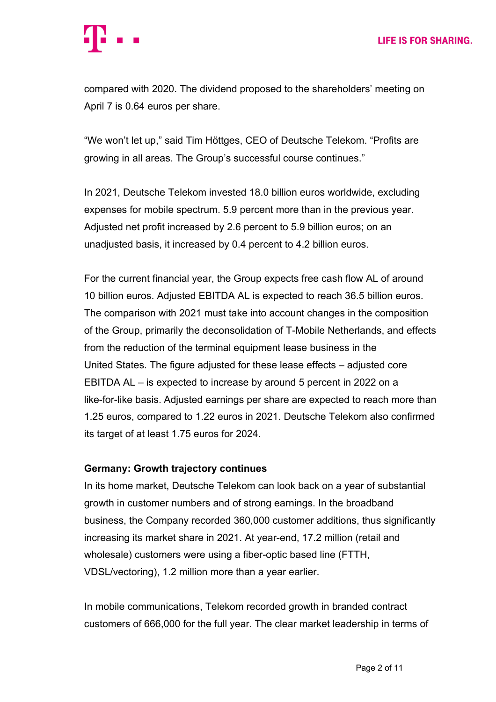compared with 2020. The dividend proposed to the shareholders' meeting on April 7 is 0.64 euros per share.

"We won't let up," said Tim Höttges, CEO of Deutsche Telekom. "Profits are growing in all areas. The Group's successful course continues."

In 2021, Deutsche Telekom invested 18.0 billion euros worldwide, excluding expenses for mobile spectrum. 5.9 percent more than in the previous year. Adjusted net profit increased by 2.6 percent to 5.9 billion euros; on an unadjusted basis, it increased by 0.4 percent to 4.2 billion euros.

For the current financial year, the Group expects free cash flow AL of around 10 billion euros. Adjusted EBITDA AL is expected to reach 36.5 billion euros. The comparison with 2021 must take into account changes in the composition of the Group, primarily the deconsolidation of T-Mobile Netherlands, and effects from the reduction of the terminal equipment lease business in the United States. The figure adjusted for these lease effects – adjusted core EBITDA AL – is expected to increase by around 5 percent in 2022 on a like-for-like basis. Adjusted earnings per share are expected to reach more than 1.25 euros, compared to 1.22 euros in 2021. Deutsche Telekom also confirmed its target of at least 1.75 euros for 2024.

### **Germany: Growth trajectory continues**

In its home market, Deutsche Telekom can look back on a year of substantial growth in customer numbers and of strong earnings. In the broadband business, the Company recorded 360,000 customer additions, thus significantly increasing its market share in 2021. At year-end, 17.2 million (retail and wholesale) customers were using a fiber-optic based line (FTTH, VDSL/vectoring), 1.2 million more than a year earlier.

In mobile communications, Telekom recorded growth in branded contract customers of 666,000 for the full year. The clear market leadership in terms of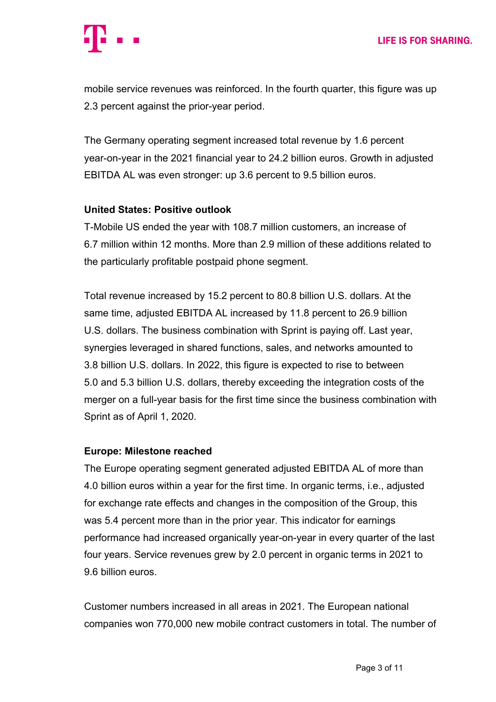mobile service revenues was reinforced. In the fourth quarter, this figure was up 2.3 percent against the prior-year period.

The Germany operating segment increased total revenue by 1.6 percent year-on-year in the 2021 financial year to 24.2 billion euros. Growth in adjusted EBITDA AL was even stronger: up 3.6 percent to 9.5 billion euros.

## **United States: Positive outlook**

T-Mobile US ended the year with 108.7 million customers, an increase of 6.7 million within 12 months. More than 2.9 million of these additions related to the particularly profitable postpaid phone segment.

Total revenue increased by 15.2 percent to 80.8 billion U.S. dollars. At the same time, adjusted EBITDA AL increased by 11.8 percent to 26.9 billion U.S. dollars. The business combination with Sprint is paying off. Last year, synergies leveraged in shared functions, sales, and networks amounted to 3.8 billion U.S. dollars. In 2022, this figure is expected to rise to between 5.0 and 5.3 billion U.S. dollars, thereby exceeding the integration costs of the merger on a full-year basis for the first time since the business combination with Sprint as of April 1, 2020.

### **Europe: Milestone reached**

The Europe operating segment generated adjusted EBITDA AL of more than 4.0 billion euros within a year for the first time. In organic terms, i.e., adjusted for exchange rate effects and changes in the composition of the Group, this was 5.4 percent more than in the prior year. This indicator for earnings performance had increased organically year-on-year in every quarter of the last four years. Service revenues grew by 2.0 percent in organic terms in 2021 to 9.6 billion euros.

Customer numbers increased in all areas in 2021. The European national companies won 770,000 new mobile contract customers in total. The number of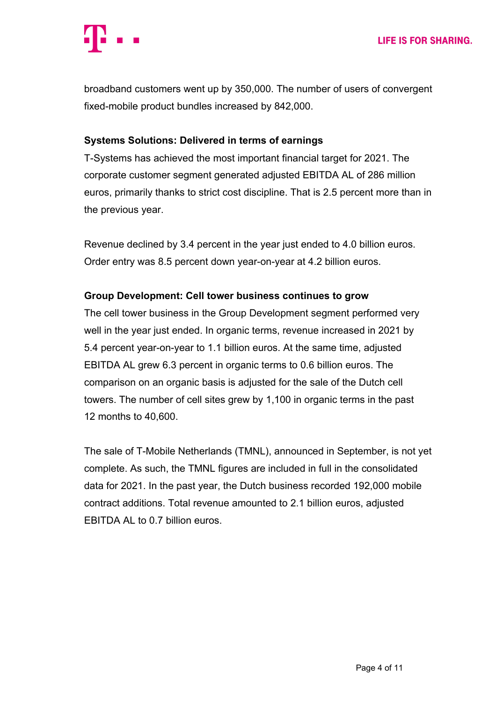broadband customers went up by 350,000. The number of users of convergent fixed-mobile product bundles increased by 842,000.

## **Systems Solutions: Delivered in terms of earnings**

T-Systems has achieved the most important financial target for 2021. The corporate customer segment generated adjusted EBITDA AL of 286 million euros, primarily thanks to strict cost discipline. That is 2.5 percent more than in the previous year.

Revenue declined by 3.4 percent in the year just ended to 4.0 billion euros. Order entry was 8.5 percent down year-on-year at 4.2 billion euros.

## **Group Development: Cell tower business continues to grow**

The cell tower business in the Group Development segment performed very well in the year just ended. In organic terms, revenue increased in 2021 by 5.4 percent year-on-year to 1.1 billion euros. At the same time, adjusted EBITDA AL grew 6.3 percent in organic terms to 0.6 billion euros. The comparison on an organic basis is adjusted for the sale of the Dutch cell towers. The number of cell sites grew by 1,100 in organic terms in the past 12 months to 40,600.

The sale of T-Mobile Netherlands (TMNL), announced in September, is not yet complete. As such, the TMNL figures are included in full in the consolidated data for 2021. In the past year, the Dutch business recorded 192,000 mobile contract additions. Total revenue amounted to 2.1 billion euros, adjusted EBITDA AL to 0.7 billion euros.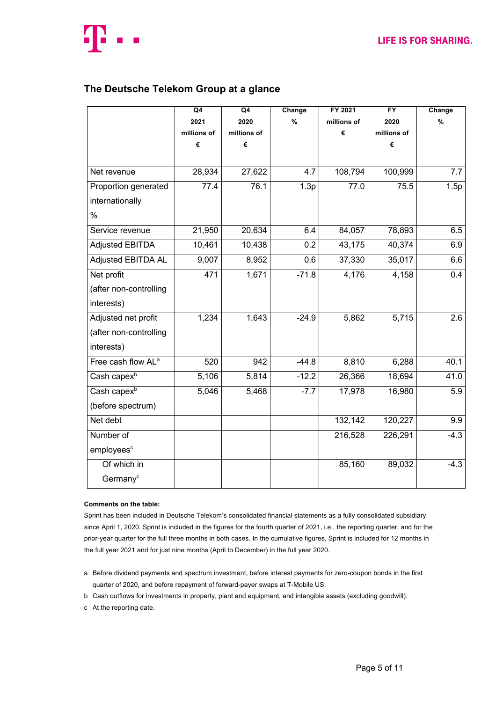

### **The Deutsche Telekom Group at a glance**

|                                | Q4          | Q4          | Change  | FY 2021     | <b>FY</b>   | Change           |
|--------------------------------|-------------|-------------|---------|-------------|-------------|------------------|
|                                | 2021        | 2020        | $\%$    | millions of | 2020        | $\%$             |
|                                | millions of | millions of |         | €           | millions of |                  |
|                                | €           | €           |         |             | €           |                  |
|                                |             |             |         |             |             |                  |
| Net revenue                    | 28,934      | 27,622      | 4.7     | 108,794     | 100,999     | 7.7              |
| Proportion generated           | 77.4        | 76.1        | 1.3p    | 77.0        | 75.5        | 1.5p             |
| internationally                |             |             |         |             |             |                  |
| $\%$                           |             |             |         |             |             |                  |
| Service revenue                | 21,950      | 20,634      | 6.4     | 84,057      | 78,893      | 6.5              |
| <b>Adjusted EBITDA</b>         | 10,461      | 10,438      | 0.2     | 43,175      | 40,374      | 6.9              |
| <b>Adjusted EBITDA AL</b>      | 9,007       | 8,952       | 0.6     | 37,330      | 35,017      | 6.6              |
| Net profit                     | 471         | 1,671       | $-71.8$ | 4,176       | 4,158       | 0.4              |
| (after non-controlling         |             |             |         |             |             |                  |
| interests)                     |             |             |         |             |             |                  |
| Adjusted net profit            | 1,234       | 1,643       | $-24.9$ | 5,862       | 5,715       | 2.6              |
| (after non-controlling         |             |             |         |             |             |                  |
| interests)                     |             |             |         |             |             |                  |
| Free cash flow AL <sup>a</sup> | 520         | 942         | $-44.8$ | 8,810       | 6,288       | 40.1             |
| Cash capex <sup>b</sup>        | 5,106       | 5,814       | $-12.2$ | 26,366      | 18,694      | 41.0             |
| Cash capex <sup>b</sup>        | 5,046       | 5,468       | $-7.7$  | 17,978      | 16,980      | $\overline{5.9}$ |
| (before spectrum)              |             |             |         |             |             |                  |
| Net debt                       |             |             |         | 132,142     | 120,227     | 9.9              |
| Number of                      |             |             |         | 216,528     | 226,291     | $-4.3$           |
| employees <sup>c</sup>         |             |             |         |             |             |                  |
| Of which in                    |             |             |         | 85,160      | 89,032      | $-4.3$           |
| Germany <sup>c</sup>           |             |             |         |             |             |                  |

#### **Comments on the table:**

Sprint has been included in Deutsche Telekom's consolidated financial statements as a fully consolidated subsidiary since April 1, 2020. Sprint is included in the figures for the fourth quarter of 2021, i.e., the reporting quarter, and for the prior-year quarter for the full three months in both cases. In the cumulative figures, Sprint is included for 12 months in the full year 2021 and for just nine months (April to December) in the full year 2020.

- a Before dividend payments and spectrum investment, before interest payments for zero-coupon bonds in the first quarter of 2020, and before repayment of forward-payer swaps at T-Mobile US.
- b Cash outflows for investments in property, plant and equipment, and intangible assets (excluding goodwill).
- c At the reporting date.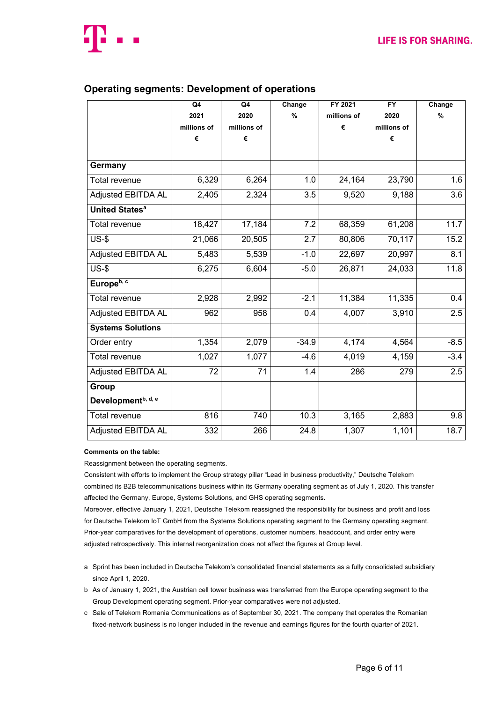

### **Operating segments: Development of operations**

|                                  | Q4          | Q4          | Change  | FY 2021     | $\overline{FY}$ | Change           |
|----------------------------------|-------------|-------------|---------|-------------|-----------------|------------------|
|                                  | 2021        | 2020        | $\%$    | millions of | 2020            | $\frac{9}{6}$    |
|                                  | millions of | millions of |         | €           | millions of     |                  |
|                                  | €           | €           |         |             | €               |                  |
|                                  |             |             |         |             |                 |                  |
| Germany                          |             |             |         |             |                 |                  |
| <b>Total revenue</b>             | 6,329       | 6,264       | 1.0     | 24,164      | 23,790          | 1.6              |
| <b>Adjusted EBITDA AL</b>        | 2,405       | 2,324       | 3.5     | 9,520       | 9,188           | 3.6              |
| <b>United States<sup>a</sup></b> |             |             |         |             |                 |                  |
| <b>Total revenue</b>             | 18,427      | 17,184      | 7.2     | 68,359      | 61,208          | 11.7             |
| $\overline{US-$}$                | 21,066      | 20,505      | 2.7     | 80,806      | 70,117          | 15.2             |
| <b>Adjusted EBITDA AL</b>        | 5,483       | 5,539       | $-1.0$  | 22,697      | 20,997          | 8.1              |
| $US-5$                           | 6,275       | 6,604       | $-5.0$  | 26,871      | 24,033          | 11.8             |
| Europe <sup>b, c</sup>           |             |             |         |             |                 |                  |
| <b>Total revenue</b>             | 2,928       | 2,992       | $-2.1$  | 11,384      | 11,335          | 0.4              |
| Adjusted EBITDA AL               | 962         | 958         | 0.4     | 4,007       | 3,910           | 2.5              |
| <b>Systems Solutions</b>         |             |             |         |             |                 |                  |
| Order entry                      | 1,354       | 2,079       | $-34.9$ | 4,174       | 4,564           | $-8.5$           |
| <b>Total revenue</b>             | 1,027       | 1,077       | $-4.6$  | 4,019       | 4,159           | $-3.4$           |
| <b>Adjusted EBITDA AL</b>        | 72          | 71          | 1.4     | 286         | 279             | $\overline{2.5}$ |
| Group                            |             |             |         |             |                 |                  |
| Development <sup>b, d, e</sup>   |             |             |         |             |                 |                  |
| Total revenue                    | 816         | 740         | 10.3    | 3,165       | 2,883           | $\overline{9.8}$ |
| <b>Adjusted EBITDA AL</b>        | 332         | 266         | 24.8    | 1,307       | 1,101           | 18.7             |

#### **Comments on the table:**

Reassignment between the operating segments.

Consistent with efforts to implement the Group strategy pillar "Lead in business productivity," Deutsche Telekom combined its B2B telecommunications business within its Germany operating segment as of July 1, 2020. This transfer affected the Germany, Europe, Systems Solutions, and GHS operating segments.

Moreover, effective January 1, 2021, Deutsche Telekom reassigned the responsibility for business and profit and loss for Deutsche Telekom IoT GmbH from the Systems Solutions operating segment to the Germany operating segment. Prior-year comparatives for the development of operations, customer numbers, headcount, and order entry were adjusted retrospectively. This internal reorganization does not affect the figures at Group level.

- a Sprint has been included in Deutsche Telekom's consolidated financial statements as a fully consolidated subsidiary since April 1, 2020.
- b As of January 1, 2021, the Austrian cell tower business was transferred from the Europe operating segment to the Group Development operating segment. Prior-year comparatives were not adjusted.
- c Sale of Telekom Romania Communications as of September 30, 2021. The company that operates the Romanian fixed-network business is no longer included in the revenue and earnings figures for the fourth quarter of 2021.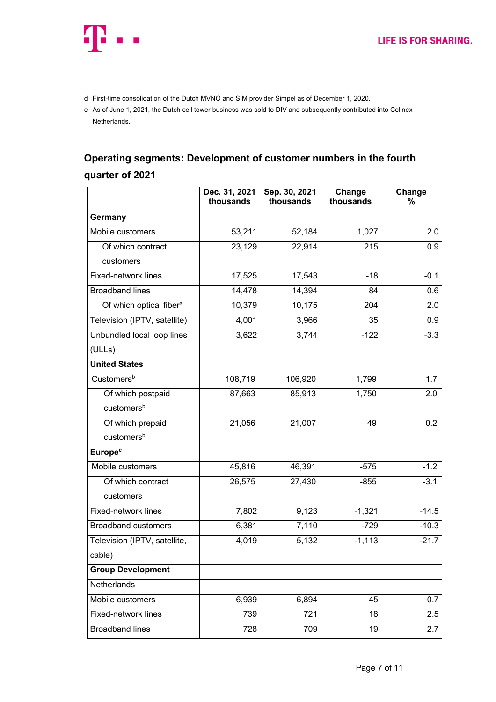

- d First-time consolidation of the Dutch MVNO and SIM provider Simpel as of December 1, 2020.
- e As of June 1, 2021, the Dutch cell tower business was sold to DIV and subsequently contributed into Cellnex Netherlands.

# **Operating segments: Development of customer numbers in the fourth quarter of 2021**

|                                     | Dec. 31, 2021<br>thousands | Sep. 30, 2021<br>thousands | Change<br>thousands | Change<br>% |
|-------------------------------------|----------------------------|----------------------------|---------------------|-------------|
| Germany                             |                            |                            |                     |             |
| Mobile customers                    | 53,211                     | 52,184                     | 1,027               | 2.0         |
| Of which contract                   | 23,129                     | 22,914                     | 215                 | 0.9         |
| customers                           |                            |                            |                     |             |
| Fixed-network lines                 | 17,525                     | 17,543                     | $-18$               | $-0.1$      |
| <b>Broadband lines</b>              | 14,478                     | 14,394                     | 84                  | 0.6         |
| Of which optical fiber <sup>a</sup> | 10,379                     | 10,175                     | 204                 | 2.0         |
| Television (IPTV, satellite)        | 4,001                      | 3,966                      | 35                  | 0.9         |
| Unbundled local loop lines          | 3,622                      | 3,744                      | $-122$              | $-3.3$      |
| (ULLs)                              |                            |                            |                     |             |
| <b>United States</b>                |                            |                            |                     |             |
| Customers <sup>b</sup>              | 108,719                    | 106,920                    | 1,799               | 1.7         |
| Of which postpaid                   | 87,663                     | 85,913                     | 1,750               | 2.0         |
| customers <sup>b</sup>              |                            |                            |                     |             |
| Of which prepaid                    | 21,056                     | 21,007                     | 49                  | 0.2         |
| customers <sup>b</sup>              |                            |                            |                     |             |
| <b>Europe</b> <sup>c</sup>          |                            |                            |                     |             |
| Mobile customers                    | 45,816                     | 46,391                     | $-575$              | $-1.2$      |
| Of which contract                   | 26,575                     | 27,430                     | $-855$              | $-3.1$      |
| customers                           |                            |                            |                     |             |
| Fixed-network lines                 | 7,802                      | 9,123                      | $-1,321$            | $-14.5$     |
| <b>Broadband customers</b>          | 6,381                      | 7,110                      | $-729$              | $-10.3$     |
| Television (IPTV, satellite,        | 4,019                      | 5,132                      | $-1,113$            | $-21.7$     |
| cable)                              |                            |                            |                     |             |
| <b>Group Development</b>            |                            |                            |                     |             |
| Netherlands                         |                            |                            |                     |             |
| Mobile customers                    | 6,939                      | 6,894                      | 45                  | 0.7         |
| Fixed-network lines                 | 739                        | 721                        | 18                  | 2.5         |
| <b>Broadband lines</b>              | 728                        | 709                        | 19                  | 2.7         |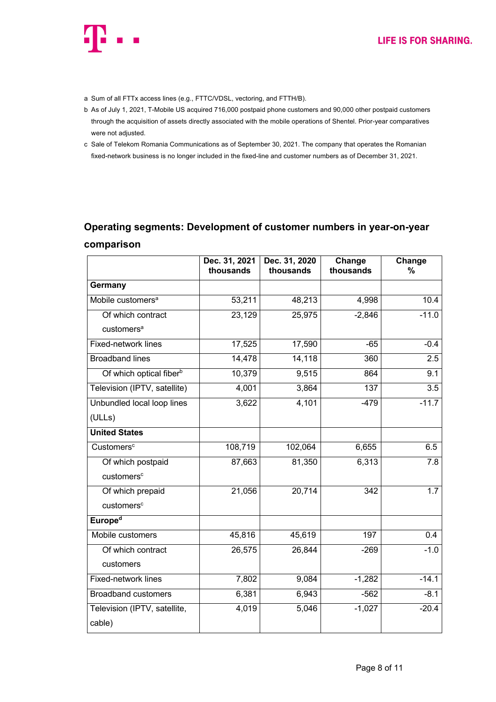

- a Sum of all FTTx access lines (e.g., FTTC/VDSL, vectoring, and FTTH/B).
- b As of July 1, 2021, T-Mobile US acquired 716,000 postpaid phone customers and 90,000 other postpaid customers through the acquisition of assets directly associated with the mobile operations of Shentel. Prior-year comparatives were not adjusted.
- c Sale of Telekom Romania Communications as of September 30, 2021. The company that operates the Romanian fixed-network business is no longer included in the fixed-line and customer numbers as of December 31, 2021.

# **Operating segments: Development of customer numbers in year-on-year comparison**

|                                     | Dec. 31, 2021<br>thousands | Dec. 31, 2020<br>thousands | Change<br>thousands | Change<br>% |
|-------------------------------------|----------------------------|----------------------------|---------------------|-------------|
| Germany                             |                            |                            |                     |             |
| Mobile customers <sup>a</sup>       | 53,211                     | 48,213                     | 4,998               | 10.4        |
| Of which contract                   | 23,129                     | 25,975                     | $-2,846$            | $-11.0$     |
| customers <sup>a</sup>              |                            |                            |                     |             |
| <b>Fixed-network lines</b>          | 17,525                     | 17,590                     | $-65$               | $-0.4$      |
| <b>Broadband lines</b>              | 14,478                     | 14,118                     | 360                 | 2.5         |
| Of which optical fiber <sup>b</sup> | 10,379                     | 9,515                      | 864                 | 9.1         |
| Television (IPTV, satellite)        | 4,001                      | 3,864                      | 137                 | 3.5         |
| Unbundled local loop lines          | 3,622                      | 4,101                      | $-479$              | $-11.7$     |
| (ULLs)                              |                            |                            |                     |             |
| <b>United States</b>                |                            |                            |                     |             |
| Customers <sup>c</sup>              | 108,719                    | 102,064                    | 6,655               | 6.5         |
| Of which postpaid                   | 87,663                     | 81,350                     | 6,313               | 7.8         |
| customers <sup>c</sup>              |                            |                            |                     |             |
| Of which prepaid                    | 21,056                     | 20,714                     | 342                 | 1.7         |
| customers <sup>c</sup>              |                            |                            |                     |             |
| <b>Europed</b>                      |                            |                            |                     |             |
| Mobile customers                    | 45,816                     | 45,619                     | 197                 | 0.4         |
| Of which contract                   | 26,575                     | 26,844                     | $-269$              | $-1.0$      |
| customers                           |                            |                            |                     |             |
| Fixed-network lines                 | 7,802                      | 9,084                      | $-1,282$            | $-14.1$     |
| <b>Broadband customers</b>          | 6,381                      | 6,943                      | $-562$              | $-8.1$      |
| Television (IPTV, satellite,        | 4,019                      | 5,046                      | $-1,027$            | $-20.4$     |
| cable)                              |                            |                            |                     |             |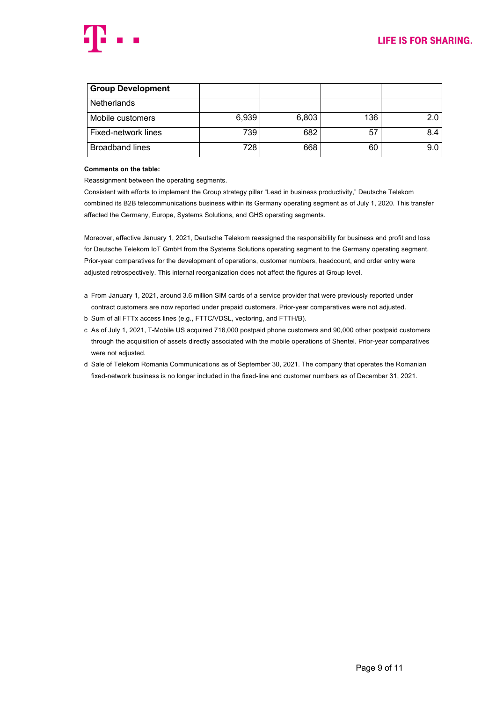

| <b>Group Development</b> |       |       |     |     |
|--------------------------|-------|-------|-----|-----|
| <b>Netherlands</b>       |       |       |     |     |
| Mobile customers         | 6,939 | 6,803 | 136 | 2.0 |
| Fixed-network lines      | 739   | 682   | 57  | 8.4 |
| <b>Broadband lines</b>   | 728   | 668   | 60  | 9.0 |

#### **Comments on the table:**

Reassignment between the operating segments.

Consistent with efforts to implement the Group strategy pillar "Lead in business productivity," Deutsche Telekom combined its B2B telecommunications business within its Germany operating segment as of July 1, 2020. This transfer affected the Germany, Europe, Systems Solutions, and GHS operating segments.

Moreover, effective January 1, 2021, Deutsche Telekom reassigned the responsibility for business and profit and loss for Deutsche Telekom IoT GmbH from the Systems Solutions operating segment to the Germany operating segment. Prior-year comparatives for the development of operations, customer numbers, headcount, and order entry were adjusted retrospectively. This internal reorganization does not affect the figures at Group level.

- a From January 1, 2021, around 3.6 million SIM cards of a service provider that were previously reported under contract customers are now reported under prepaid customers. Prior-year comparatives were not adjusted.
- b Sum of all FTTx access lines (e.g., FTTC/VDSL, vectoring, and FTTH/B).
- c As of July 1, 2021, T-Mobile US acquired 716,000 postpaid phone customers and 90,000 other postpaid customers through the acquisition of assets directly associated with the mobile operations of Shentel. Prior-year comparatives were not adjusted.
- d Sale of Telekom Romania Communications as of September 30, 2021. The company that operates the Romanian fixed-network business is no longer included in the fixed-line and customer numbers as of December 31, 2021.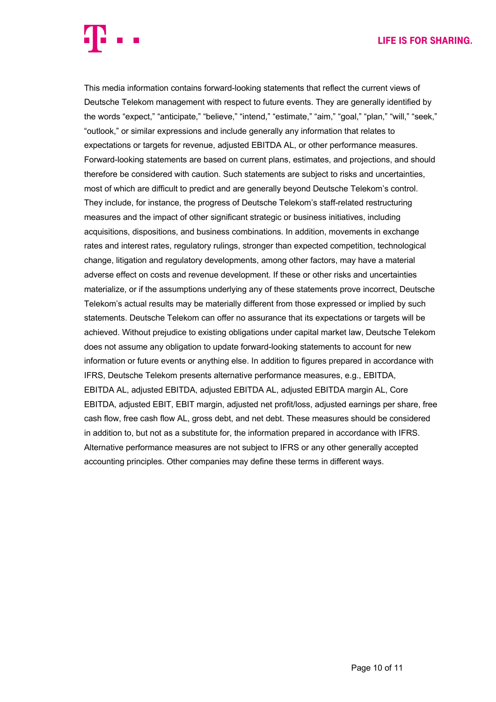#### **LIFE IS FOR SHARING.**

This media information contains forward-looking statements that reflect the current views of Deutsche Telekom management with respect to future events. They are generally identified by the words "expect," "anticipate," "believe," "intend," "estimate," "aim," "goal," "plan," "will," "seek," "outlook," or similar expressions and include generally any information that relates to expectations or targets for revenue, adjusted EBITDA AL, or other performance measures. Forward-looking statements are based on current plans, estimates, and projections, and should therefore be considered with caution. Such statements are subject to risks and uncertainties, most of which are difficult to predict and are generally beyond Deutsche Telekom's control. They include, for instance, the progress of Deutsche Telekom's staff-related restructuring measures and the impact of other significant strategic or business initiatives, including acquisitions, dispositions, and business combinations. In addition, movements in exchange rates and interest rates, regulatory rulings, stronger than expected competition, technological change, litigation and regulatory developments, among other factors, may have a material adverse effect on costs and revenue development. If these or other risks and uncertainties materialize, or if the assumptions underlying any of these statements prove incorrect, Deutsche Telekom's actual results may be materially different from those expressed or implied by such statements. Deutsche Telekom can offer no assurance that its expectations or targets will be achieved. Without prejudice to existing obligations under capital market law, Deutsche Telekom does not assume any obligation to update forward-looking statements to account for new information or future events or anything else. In addition to figures prepared in accordance with IFRS, Deutsche Telekom presents alternative performance measures, e.g., EBITDA, EBITDA AL, adjusted EBITDA, adjusted EBITDA AL, adjusted EBITDA margin AL, Core EBITDA, adjusted EBIT, EBIT margin, adjusted net profit/loss, adjusted earnings per share, free cash flow, free cash flow AL, gross debt, and net debt. These measures should be considered in addition to, but not as a substitute for, the information prepared in accordance with IFRS. Alternative performance measures are not subject to IFRS or any other generally accepted accounting principles. Other companies may define these terms in different ways.